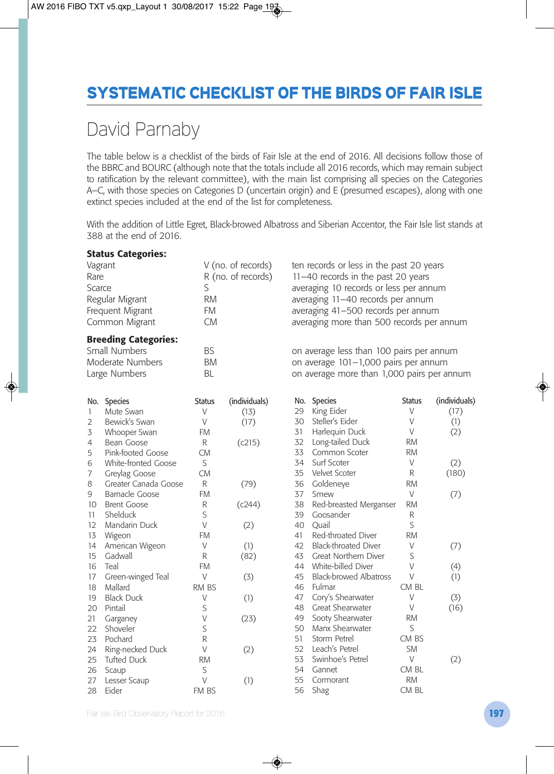## **SYSTEMATIC CHECKLIST OF THE BIRDS OF FAIR ISLE**

## David Parnaby

The table below is a checklist of the birds of Fair Isle at the end of 2016. All decisions follow those of the BBRC and BOURC (although note that the totals include all 2016 records, which may remain subject to ratification by the relevant committee), with the main list comprising all species on the Categories A–C, with those species on Categories D (uncertain origin) and E (presumed escapes), along with one extinct species included at the end of the list for completeness.

With the addition of Little Egret, Black-browed Albatross and Siberian Accentor, the Fair Isle list stands at 388 at the end of 2016.

|                                                       | <b>Status Categories:</b>   |                    |                    |                                            |                                           |               |               |  |
|-------------------------------------------------------|-----------------------------|--------------------|--------------------|--------------------------------------------|-------------------------------------------|---------------|---------------|--|
| Vagrant                                               |                             | V (no. of records) |                    | ten records or less in the past 20 years   |                                           |               |               |  |
| Rare                                                  |                             |                    | R (no. of records) |                                            | 11-40 records in the past 20 years        |               |               |  |
| Scarce                                                |                             | S                  |                    |                                            | averaging 10 records or less per annum    |               |               |  |
| Regular Migrant<br>Frequent Migrant<br>Common Migrant |                             | <b>RM</b>          |                    |                                            | averaging 11-40 records per annum         |               |               |  |
|                                                       |                             | <b>FM</b>          |                    |                                            | averaging 41-500 records per annum        |               |               |  |
|                                                       |                             | <b>CM</b>          |                    |                                            | averaging more than 500 records per annum |               |               |  |
|                                                       | <b>Breeding Categories:</b> |                    |                    |                                            |                                           |               |               |  |
|                                                       | Small Numbers               | <b>BS</b>          |                    |                                            | on average less than 100 pairs per annum  |               |               |  |
| Moderate Numbers                                      |                             | <b>BM</b>          |                    | on average 101-1,000 pairs per annum       |                                           |               |               |  |
| Large Numbers                                         |                             | <b>BL</b>          |                    | on average more than 1,000 pairs per annum |                                           |               |               |  |
|                                                       | No. Species                 | <b>Status</b>      | (individuals)      |                                            | No. Species                               | <b>Status</b> | (individuals) |  |
| $\mathbf{1}$                                          | Mute Swan                   | V                  | (13)               | 29                                         | King Eider                                | V             | (17)          |  |
| 2                                                     | Bewick's Swan               | V                  | (17)               | 30                                         | Steller's Eider                           | V             | (1)           |  |
| 3                                                     | Whooper Swan                | FM                 |                    | 31                                         | Harlequin Duck                            | V             | (2)           |  |
| 4                                                     | Bean Goose                  | R                  | (c215)             | 32                                         | Long-tailed Duck                          | <b>RM</b>     |               |  |
| 5                                                     | Pink-footed Goose           | <b>CM</b>          |                    | 33                                         | Common Scoter                             | <b>RM</b>     |               |  |
| 6                                                     | White-fronted Goose         | S                  |                    | 34                                         | Surf Scoter                               | V             | (2)           |  |
| $\overline{7}$                                        | Greylag Goose               | <b>CM</b>          |                    | 35                                         | Velvet Scoter                             | R             | (180)         |  |
| 8                                                     | Greater Canada Goose        | R                  | (79)               | 36                                         | Goldeneye                                 | <b>RM</b>     |               |  |
| 9                                                     | Barnacle Goose              | <b>FM</b>          |                    | 37                                         | Smew                                      | V             | (7)           |  |
| 10 <sup>2</sup>                                       | <b>Brent Goose</b>          | R                  | (c244)             | 38                                         | Red-breasted Merganser                    | <b>RM</b>     |               |  |
| 11                                                    | Shelduck                    | S                  |                    | 39                                         | Goosander                                 | R             |               |  |
| 12                                                    | Mandarin Duck               | V                  | (2)                | 40                                         | Quail                                     | S             |               |  |
| 13                                                    | Wigeon                      | <b>FM</b>          |                    | 41                                         | Red-throated Diver                        | <b>RM</b>     |               |  |
| 14                                                    | American Wigeon             | V                  | (1)                | 42                                         | Black-throated Diver                      | V             | (7)           |  |
| 15                                                    | Gadwall                     | R                  | (82)               | 43                                         | Great Northern Diver                      | S             |               |  |
| 16                                                    | Teal                        | <b>FM</b>          |                    | 44                                         | White-billed Diver                        | V             | (4)           |  |
| 17                                                    | Green-winged Teal           | $\vee$             | (3)                | 45                                         | <b>Black-browed Albatross</b>             | V             | (1)           |  |
| 18                                                    | Mallard                     | RM BS              |                    | 46                                         | Fulmar                                    | CM BL         |               |  |
| 19                                                    | <b>Black Duck</b>           | V                  | (1)                | 47                                         | Cory's Shearwater                         | V             | (3)           |  |
| 20                                                    | Pintail                     | S                  |                    | 48                                         | Great Shearwater                          | V             | (16)          |  |
| 21                                                    | Garganey                    | V                  | (23)               | 49                                         | Sooty Shearwater                          | <b>RM</b>     |               |  |
| 22                                                    | Shoveler                    | S                  |                    | 50                                         | Manx Shearwater                           | S             |               |  |
| 23                                                    | Pochard                     | R                  |                    | 51                                         | Storm Petrel                              | CM BS         |               |  |
| 24                                                    | Ring-necked Duck            | V                  | (2)                |                                            | 52 Leach's Petrel                         | <b>SM</b>     |               |  |
| 25                                                    | <b>Tufted Duck</b>          | <b>RM</b>          |                    | 53                                         | Swinhoe's Petrel                          | V             | (2)           |  |
| 26                                                    | Scaup                       | S                  |                    | 54                                         | Gannet                                    | CM BL         |               |  |
| 27                                                    | Lesser Scaup                | V                  | (1)                | 55                                         | Cormorant                                 | <b>RM</b>     |               |  |
| 28                                                    | Eider                       | FM BS              |                    | 56                                         | Shag                                      | CM BL         |               |  |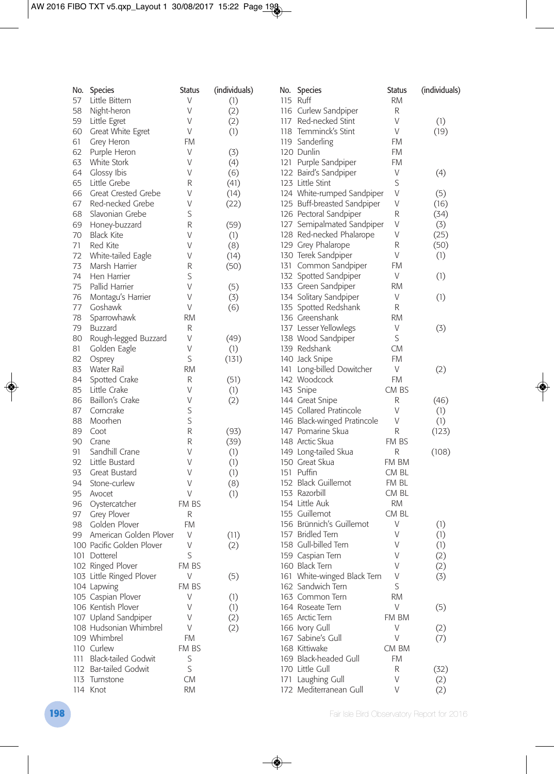| No. | Species                    | <b>Status</b> | (individuals) | No. Species                 | <b>Status</b> | (individuals) |
|-----|----------------------------|---------------|---------------|-----------------------------|---------------|---------------|
| 57  | Little Bittern             | V             | (1)           | 115 Ruff                    | <b>RM</b>     |               |
| 58  | Night-heron                | V             | (2)           | 116 Curlew Sandpiper        | R             |               |
| 59  | Little Egret               | V             | (2)           | 117 Red-necked Stint        | V             | (1)           |
| 60  | Great White Egret          | V             | (1)           | 118 Temminck's Stint        | V             | (19)          |
| 61  | Grey Heron                 | FM            |               | 119 Sanderling              | FM            |               |
| 62  | Purple Heron               | V             | (3)           | 120 Dunlin                  | <b>FM</b>     |               |
| 63  | White Stork                | V             | (4)           | 121 Purple Sandpiper        | FM            |               |
| 64  | Glossy Ibis                | V             | (6)           | 122 Baird's Sandpiper       | V             | (4)           |
| 65  | Little Grebe               | R             | (41)          | 123 Little Stint            | S             |               |
| 66  | Great Crested Grebe        | V             | (14)          | 124 White-rumped Sandpiper  | V             | (5)           |
| 67  | Red-necked Grebe           | V             | (22)          | 125 Buff-breasted Sandpiper | V             | (16)          |
| 68  | Slavonian Grebe            | S             |               | 126 Pectoral Sandpiper      | R             | (34)          |
| 69  | Honey-buzzard              | R             | (59)          | 127 Semipalmated Sandpiper  | V             | (3)           |
| 70  | <b>Black Kite</b>          | V             | (1)           | 128 Red-necked Phalarope    | V             | (25)          |
| 71  | Red Kite                   | V             | (8)           | 129 Grey Phalarope          | R             | (50)          |
| 72  | White-tailed Eagle         | V             | (14)          | 130 Terek Sandpiper         | V             | (1)           |
| 73  | Marsh Harrier              | R             | (50)          | 131 Common Sandpiper        | FM            |               |
| 74  | Hen Harrier                | S             |               | 132 Spotted Sandpiper       | V             | (1)           |
| 75  | Pallid Harrier             | V             | (5)           | 133 Green Sandpiper         | <b>RM</b>     |               |
| 76  | Montagu's Harrier          | V             | (3)           | 134 Solitary Sandpiper      | V             | (1)           |
| 77  | Goshawk                    | V             | (6)           | 135 Spotted Redshank        | R             |               |
| 78  | Sparrowhawk                | RM            |               | 136 Greenshank              | RM            |               |
| 79  | Buzzard                    | R             |               | 137 Lesser Yellowlegs       | V             | (3)           |
| 80  | Rough-legged Buzzard       | V             | (49)          | 138 Wood Sandpiper          | S             |               |
| 81  | Golden Eagle               | V             | (1)           | 139 Redshank                | <b>CM</b>     |               |
| 82  | Osprey                     | S             | (131)         | 140 Jack Snipe              | <b>FM</b>     |               |
| 83  | Water Rail                 | <b>RM</b>     |               | 141 Long-billed Dowitcher   | V             | (2)           |
| 84  | Spotted Crake              | R             | (51)          | 142 Woodcock                | <b>FM</b>     |               |
| 85  | Little Crake               | V             | (1)           | 143 Snipe                   | CM BS         |               |
| 86  | Baillon's Crake            | V             | (2)           | 144 Great Snipe             | R             | (46)          |
| 87  | Corncrake                  | S             |               | 145 Collared Pratincole     | V             | (1)           |
| 88  | Moorhen                    | S             |               | 146 Black-winged Pratincole | V             | (1)           |
| 89  | Coot                       | R             | (93)          | 147 Pomarine Skua           | R             | (123)         |
| 90  | Crane                      | R             | (39)          | 148 Arctic Skua             | FM BS         |               |
| 91  | Sandhill Crane             | V             | (1)           | 149 Long-tailed Skua        | R             | (108)         |
| 92  | Little Bustard             | V             | (1)           | 150 Great Skua              | FM BM         |               |
| 93  | Great Bustard              | V             | (1)           | 151 Puffin                  | CM BL         |               |
| 94  | Stone-curlew               | V             | (8)           | 152 Black Guillemot         | FM BL         |               |
| 95  | Avocet                     | V             | (1)           | 153 Razorbill               | CM BL         |               |
| 96  | Oystercatcher              | FM BS         |               | 154 Little Auk              | <b>RM</b>     |               |
| 97  | Grey Plover                | R             |               | 155 Guillemot               | CM BL         |               |
| 98  | Golden Plover              | <b>FM</b>     |               | 156 Brünnich's Guillemot    | V             | (1)           |
| 99  | American Golden Plover     | V             | (11)          | 157 Bridled Tern            | V             | (1)           |
|     | 100 Pacific Golden Plover  | V             | (2)           | 158 Gull-billed Tern        | V             | (1)           |
|     | 101 Dotterel               | S             |               | 159 Caspian Tern            | V             | (2)           |
|     | 102 Ringed Plover          | FM BS         |               | 160 Black Tern              | V             | (2)           |
|     | 103 Little Ringed Plover   | V             | (5)           | 161 White-winged Black Tern | V             | (3)           |
|     | 104 Lapwing                | FM BS         |               | 162 Sandwich Tern           | S             |               |
|     | 105 Caspian Plover         | V             | (1)           | 163 Common Tern             | RM            |               |
|     | 106 Kentish Plover         | V             | (1)           | 164 Roseate Tern            | V             | (5)           |
|     | 107 Upland Sandpiper       | V             | (2)           | 165 Arctic Tern             | FM BM         |               |
|     | 108 Hudsonian Whimbrel     | V             | (2)           | 166 Ivory Gull              | V             | (2)           |
|     | 109 Whimbrel               | FM            |               | 167 Sabine's Gull           | V             | (7)           |
|     | 110 Curlew                 | FM BS         |               | 168 Kittiwake               | CM BM         |               |
| 111 | <b>Black-tailed Godwit</b> | S             |               | 169 Black-headed Gull       | <b>FM</b>     |               |
|     | 112 Bar-tailed Godwit      | S             |               | 170 Little Gull             | R             | (32)          |
|     | 113 Turnstone              | <b>CM</b>     |               | 171 Laughing Gull           | V             | (2)           |
|     | 114 Knot                   | <b>RM</b>     |               | 172 Mediterranean Gull      | V             | (2)           |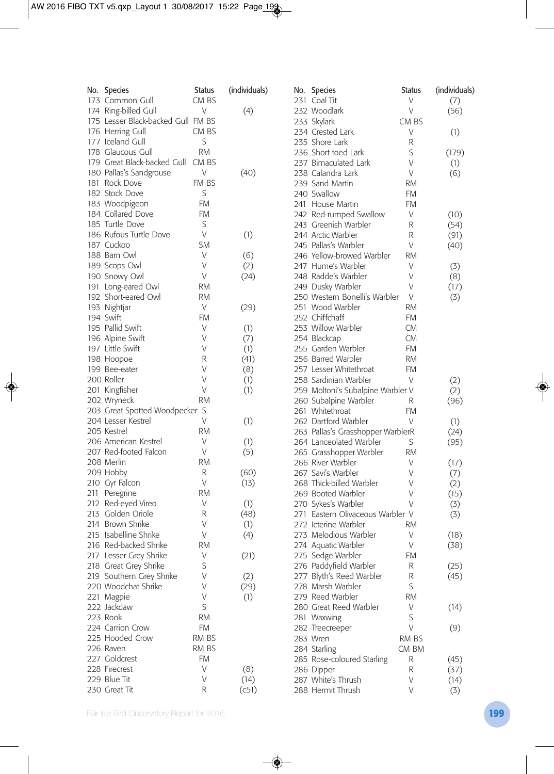| No. Species                         | Status    | (individuals) | No. Species                       | <b>Status</b> | (individuals) |
|-------------------------------------|-----------|---------------|-----------------------------------|---------------|---------------|
| 173 Common Gull                     | CM BS     |               | 231 Coal Tit                      | V             | (7)           |
| 174 Ring-billed Gull                | V         | (4)           | 232 Woodlark                      | V             | (56)          |
| 175 Lesser Black-backed Gull FM BS  |           |               | 233 Skylark                       | CM BS         |               |
| 176 Herring Gull                    | CM BS     |               | 234 Crested Lark                  | V             | (1)           |
| 177 Iceland Gull                    | S         |               | 235 Shore Lark                    | R             |               |
| 178 Glaucous Gull                   | <b>RM</b> |               | 236 Short-toed Lark               | S             | (179)         |
| 179 Great Black-backed Gull CM BS   |           |               | 237 Bimaculated Lark              | V             | (1)           |
| 180 Pallas's Sandgrouse             | V         | (40)          | 238 Calandra Lark                 | V             | (6)           |
| 181 Rock Dove                       | FM BS     |               | 239 Sand Martin                   | <b>RM</b>     |               |
| 182 Stock Dove                      | S         |               | 240 Swallow                       | FM            |               |
| 183 Woodpigeon                      | FM        |               | 241 House Martin                  | <b>FM</b>     |               |
| 184 Collared Dove                   | FM        |               | 242 Red-rumped Swallow            | V             | (10)          |
| 185 Turtle Dove                     | S         |               | 243 Greenish Warbler              | R             | (54)          |
| 186 Rufous Turtle Dove              | V         | (1)           | 244 Arctic Warbler                | R             | (91)          |
| 187 Cuckoo                          | SM        |               | 245 Pallas's Warbler              | V             | (40)          |
| 188 Barn Owl                        | V         | (6)           | 246 Yellow-browed Warbler         | <b>RM</b>     |               |
| 189 Scops Owl                       | V         |               | 247 Hume's Warbler                | V             |               |
|                                     | V         | (2)<br>(24)   | 248 Radde's Warbler               | V             | (3)           |
| 190 Snowy Owl<br>191 Long-eared Owl | <b>RM</b> |               | 249 Dusky Warbler                 | V             | (8)           |
|                                     |           |               |                                   |               | (17)          |
| 192 Short-eared Owl                 | <b>RM</b> |               | 250 Western Bonelli's Warbler     | V             | (3)           |
| 193 Nightjar                        | V         | (29)          | 251 Wood Warbler                  | <b>RM</b>     |               |
| 194 Swift                           | FM        |               | 252 Chiffchaff                    | FM            |               |
| 195 Pallid Swift                    | V         | (1)           | 253 Willow Warbler                | <b>CM</b>     |               |
| 196 Alpine Swift                    | V         | (7)           | 254 Blackcap                      | <b>CM</b>     |               |
| 197 Little Swift                    | V         | (1)           | 255 Garden Warbler                | FM            |               |
| 198 Hoopoe                          | R         | (41)          | 256 Barred Warbler                | <b>RM</b>     |               |
| 199 Bee-eater                       | V         | (8)           | 257 Lesser Whitethroat            | FM            |               |
| 200 Roller                          | V         | (1)           | 258 Sardinian Warbler             | V             | (2)           |
| 201 Kingfisher                      | V         | (1)           | 259 Moltoni's Subalpine Warbler V |               | (2)           |
| 202 Wryneck                         | <b>RM</b> |               | 260 Subalpine Warbler             | R             | (96)          |
| 203 Great Spotted Woodpecker S      |           |               | 261 Whitethroat                   | <b>FM</b>     |               |
| 204 Lesser Kestrel                  | V         | (1)           | 262 Dartford Warbler              | V             | (1)           |
| 205 Kestrel                         | <b>RM</b> |               | 263 Pallas's Grasshopper WarblerR |               | (24)          |
| 206 American Kestrel                | V         | (1)           | 264 Lanceolated Warbler           | S             | (95)          |
| 207 Red-footed Falcon               | V         | (5)           | 265 Grasshopper Warbler           | <b>RM</b>     |               |
| 208 Merlin                          | RM        |               | 266 River Warbler                 | V             | (17)          |
| 209 Hobby                           | R         | (60)          | 267 Savi's Warbler                | V             | (7)           |
| 210 Gyr Falcon                      | V         | (13)          | 268 Thick-billed Warbler          | V             | (2)           |
| 211 Peregrine                       | RM        |               | 269 Booted Warbler                | V             | (15)          |
| 212 Red-eyed Vireo                  | V         | (1)           | 270 Sykes's Warbler               | V             | (3)           |
| 213 Golden Oriole                   | R         | (48)          | 271 Eastern Olivaceous Warbler V  |               | (3)           |
| 214 Brown Shrike                    | V         | (1)           | 272 Icterine Warbler              | <b>RM</b>     |               |
| 215 Isabelline Shrike               | V         | (4)           | 273 Melodious Warbler             | V             | (18)          |
| 216 Red-backed Shrike               | <b>RM</b> |               | 274 Aquatic Warbler               | V             | (38)          |
| 217 Lesser Grey Shrike              | V         | (21)          | 275 Sedge Warbler                 | FM            |               |
| 218 Great Grey Shrike               | S         |               | 276 Paddyfield Warbler            | R             | (25)          |
| 219 Southern Grey Shrike            | V         | (2)           | 277 Blyth's Reed Warbler          | R             | (45)          |
| 220 Woodchat Shrike                 | V         | (29)          | 278 Marsh Warbler                 | S             |               |
| 221 Magpie                          | V         | (1)           | 279 Reed Warbler                  | <b>RM</b>     |               |
| 222 Jackdaw                         | S         |               | 280 Great Reed Warbler            | V             | (14)          |
| 223 Rook                            | <b>RM</b> |               | 281 Waxwing                       | S             |               |
| 224 Carrion Crow                    | FM        |               | 282 Treecreeper                   | V             | (9)           |
| 225 Hooded Crow                     | RM BS     |               | 283 Wren                          | RM BS         |               |
| 226 Raven                           | RM BS     |               | 284 Starling                      | CM BM         |               |
| 227 Goldcrest                       | FM        |               | 285 Rose-coloured Starling        | R             | (45)          |
| 228 Firecrest                       | V         | (8)           | 286 Dipper                        | R             | (37)          |
| 229 Blue Tit                        | V         | (14)          | 287 White's Thrush                | V             | (14)          |
| 230 Great Tit                       | R         | (c51)         | 288 Hermit Thrush                 | V             | (3)           |